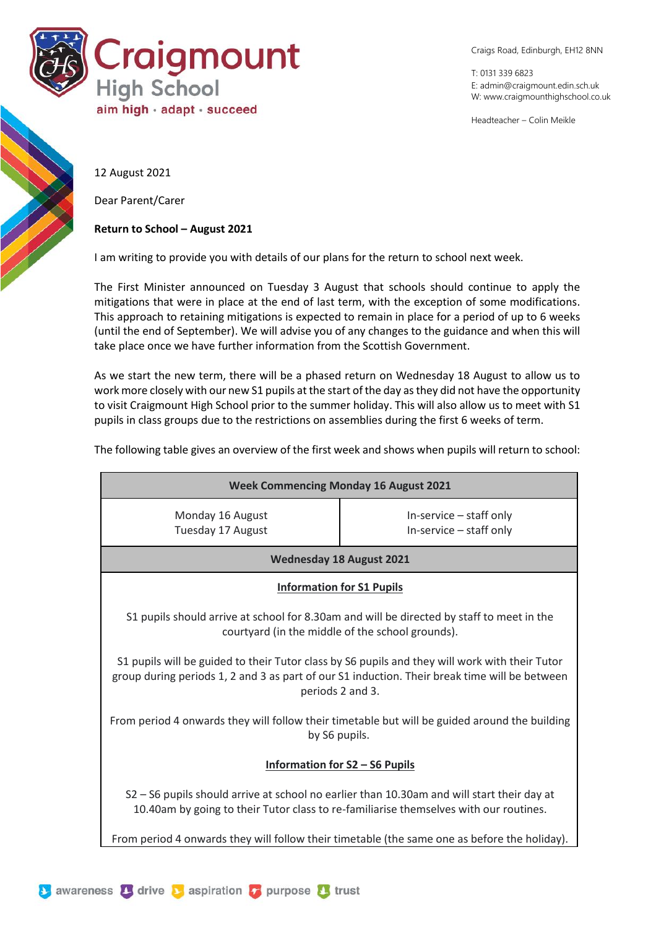

Craigs Road, Edinburgh, EH12 8NN

T: 0131 339 6823 E: [admin@craigmount.edin.sch.uk](mailto:admin@craigmount.edin.sch.uk) W[: www.craigmounthighschool.co.uk](http://www.craigmounthighschool.co.uk/)

Headteacher – Colin Meikle

12 August 2021

Dear Parent/Carer

## **Return to School – August 2021**

I am writing to provide you with details of our plans for the return to school next week.

The First Minister announced on Tuesday 3 August that schools should continue to apply the mitigations that were in place at the end of last term, with the exception of some modifications. This approach to retaining mitigations is expected to remain in place for a period of up to 6 weeks (until the end of September). We will advise you of any changes to the guidance and when this will take place once we have further information from the Scottish Government.

As we start the new term, there will be a phased return on Wednesday 18 August to allow us to work more closely with our new S1 pupils at the start of the day as they did not have the opportunity to visit Craigmount High School prior to the summer holiday. This will also allow us to meet with S1 pupils in class groups due to the restrictions on assemblies during the first 6 weeks of term.

The following table gives an overview of the first week and shows when pupils will return to school:

| <b>Week Commencing Monday 16 August 2021</b>                                                                                                                                                                        |                                                    |
|---------------------------------------------------------------------------------------------------------------------------------------------------------------------------------------------------------------------|----------------------------------------------------|
| Monday 16 August<br>Tuesday 17 August                                                                                                                                                                               | In-service - staff only<br>In-service - staff only |
| <b>Wednesday 18 August 2021</b>                                                                                                                                                                                     |                                                    |
| <b>Information for S1 Pupils</b>                                                                                                                                                                                    |                                                    |
| S1 pupils should arrive at school for 8.30am and will be directed by staff to meet in the<br>courtyard (in the middle of the school grounds).                                                                       |                                                    |
| S1 pupils will be guided to their Tutor class by S6 pupils and they will work with their Tutor<br>group during periods 1, 2 and 3 as part of our S1 induction. Their break time will be between<br>periods 2 and 3. |                                                    |
| From period 4 onwards they will follow their timetable but will be guided around the building<br>by S6 pupils.                                                                                                      |                                                    |
| <b>Information for S2 - S6 Pupils</b>                                                                                                                                                                               |                                                    |
| S2 - S6 pupils should arrive at school no earlier than 10.30am and will start their day at<br>10.40am by going to their Tutor class to re-familiarise themselves with our routines.                                 |                                                    |
| From period 4 onwards they will follow their timetable (the same one as before the holiday).                                                                                                                        |                                                    |

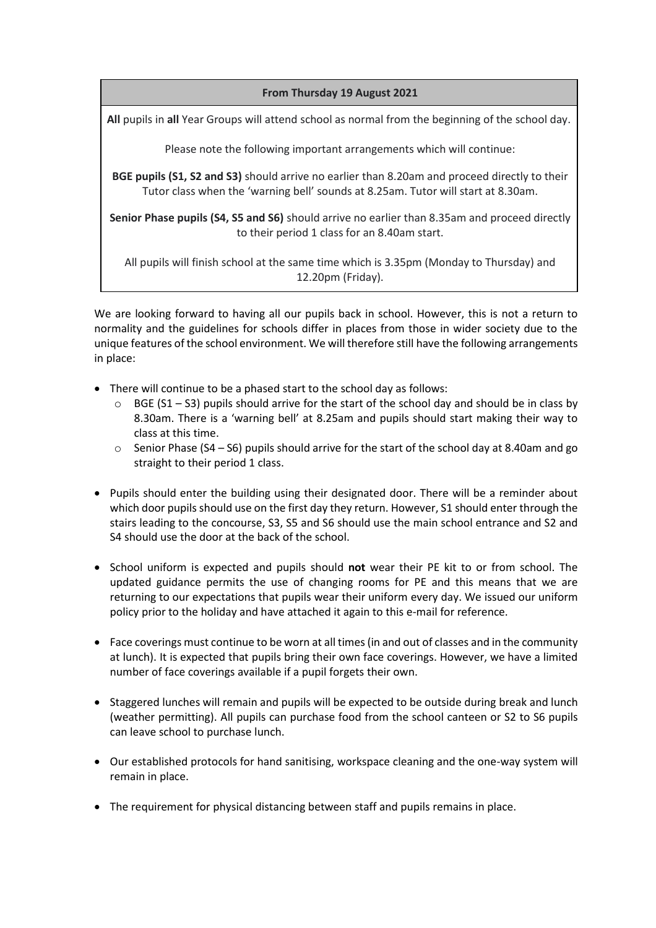## **From Thursday 19 August 2021**

**All** pupils in **all** Year Groups will attend school as normal from the beginning of the school day.

Please note the following important arrangements which will continue:

**BGE pupils (S1, S2 and S3)** should arrive no earlier than 8.20am and proceed directly to their Tutor class when the 'warning bell' sounds at 8.25am. Tutor will start at 8.30am.

**Senior Phase pupils (S4, S5 and S6)** should arrive no earlier than 8.35am and proceed directly to their period 1 class for an 8.40am start.

All pupils will finish school at the same time which is 3.35pm (Monday to Thursday) and 12.20pm (Friday).

We are looking forward to having all our pupils back in school. However, this is not a return to normality and the guidelines for schools differ in places from those in wider society due to the unique features of the school environment. We will therefore still have the following arrangements in place:

- There will continue to be a phased start to the school day as follows:
	- $\circ$  BGE (S1 S3) pupils should arrive for the start of the school day and should be in class by 8.30am. There is a 'warning bell' at 8.25am and pupils should start making their way to class at this time.
	- $\circ$  Senior Phase (S4 S6) pupils should arrive for the start of the school day at 8.40am and go straight to their period 1 class.
- Pupils should enter the building using their designated door. There will be a reminder about which door pupils should use on the first day they return. However, S1 should enter through the stairs leading to the concourse, S3, S5 and S6 should use the main school entrance and S2 and S4 should use the door at the back of the school.
- School uniform is expected and pupils should **not** wear their PE kit to or from school. The updated guidance permits the use of changing rooms for PE and this means that we are returning to our expectations that pupils wear their uniform every day. We issued our uniform policy prior to the holiday and have attached it again to this e-mail for reference.
- Face coverings must continue to be worn at all times (in and out of classes and in the community at lunch). It is expected that pupils bring their own face coverings. However, we have a limited number of face coverings available if a pupil forgets their own.
- Staggered lunches will remain and pupils will be expected to be outside during break and lunch (weather permitting). All pupils can purchase food from the school canteen or S2 to S6 pupils can leave school to purchase lunch.
- Our established protocols for hand sanitising, workspace cleaning and the one-way system will remain in place.
- The requirement for physical distancing between staff and pupils remains in place.